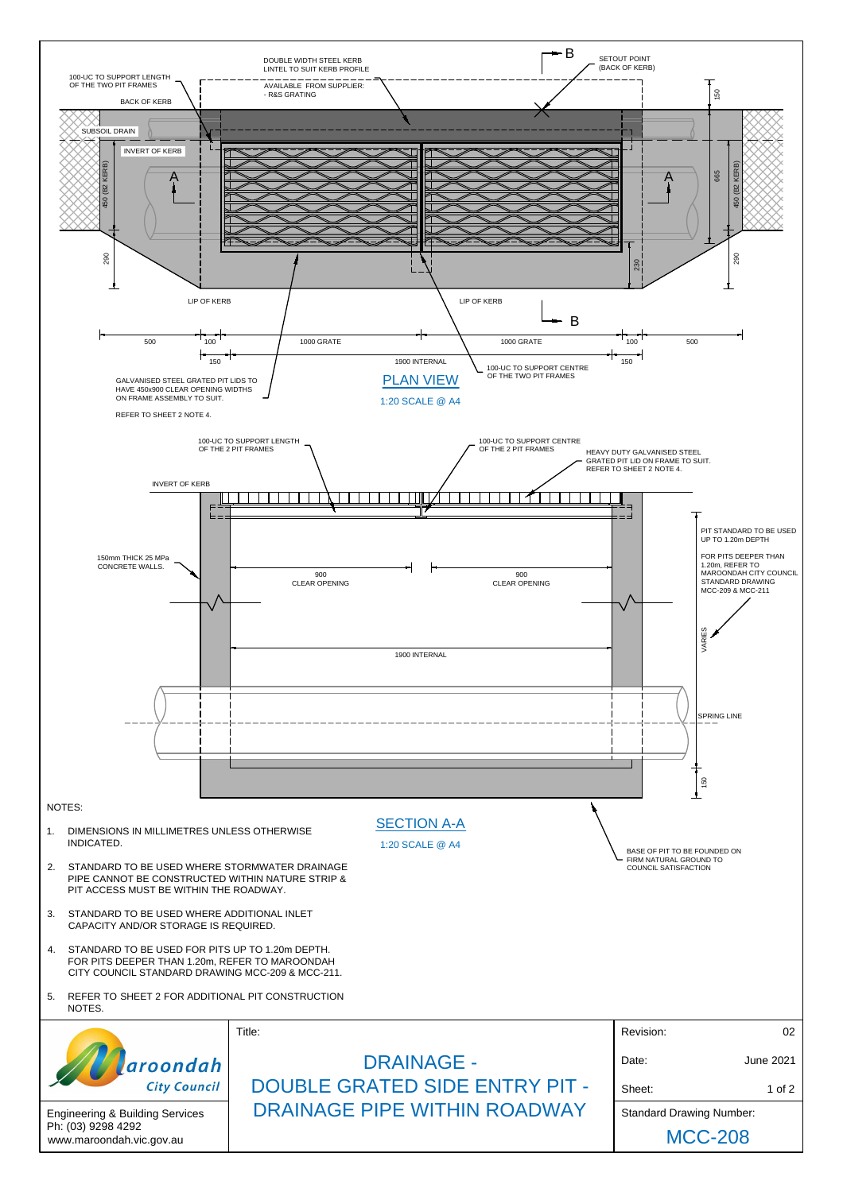